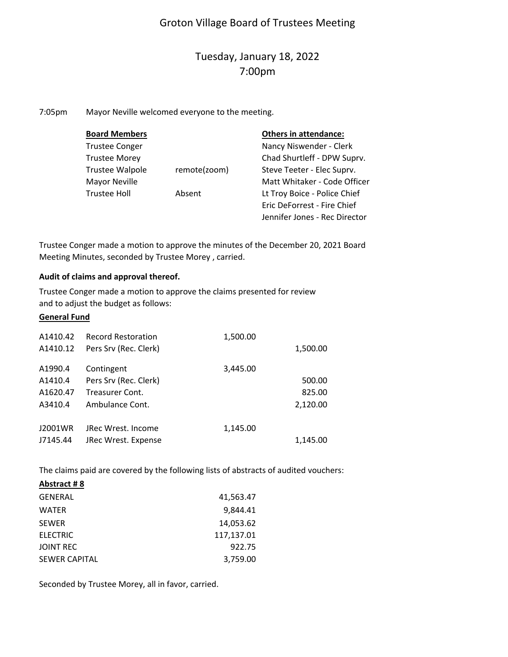### Groton Village Board of Trustees Meeting

## Tuesday, January 18, 2022 7:00pm

7:05pm Mayor Neville welcomed everyone to the meeting.

| <b>Board Members</b>   |              | <b>Others in attendance:</b>  |
|------------------------|--------------|-------------------------------|
| <b>Trustee Conger</b>  |              | Nancy Niswender - Clerk       |
| <b>Trustee Morey</b>   |              | Chad Shurtleff - DPW Suprv.   |
| <b>Trustee Walpole</b> | remote(zoom) | Steve Teeter - Elec Suprv.    |
| Mayor Neville          |              | Matt Whitaker - Code Officer  |
| <b>Trustee Holl</b>    | Absent       | Lt Troy Boice - Police Chief  |
|                        |              | Eric DeForrest - Fire Chief   |
|                        |              | Jennifer Jones - Rec Director |

Trustee Conger made a motion to approve the minutes of the December 20, 2021 Board Meeting Minutes, seconded by Trustee Morey , carried.

#### **Audit of claims and approval thereof.**

Trustee Conger made a motion to approve the claims presented for review and to adjust the budget as follows:

#### **General Fund**

| A1410.42<br>A1410.12 | <b>Record Restoration</b><br>Pers Srv (Rec. Clerk) | 1,500.00 | 1,500.00 |
|----------------------|----------------------------------------------------|----------|----------|
| A1990.4              | Contingent                                         | 3,445.00 |          |
| A1410.4              | Pers Srv (Rec. Clerk)                              |          | 500.00   |
| A1620.47             | Treasurer Cont.                                    |          | 825.00   |
| A3410.4              | Ambulance Cont.                                    |          | 2,120.00 |
|                      |                                                    |          |          |
| J2001WR              | JRec Wrest, Income                                 | 1,145.00 |          |
| J7145.44             | JRec Wrest. Expense                                |          | 1,145.00 |

The claims paid are covered by the following lists of abstracts of audited vouchers:

| Abstract #8          |            |
|----------------------|------------|
| <b>GENERAL</b>       | 41,563.47  |
| <b>WATER</b>         | 9.844.41   |
| <b>SEWER</b>         | 14,053.62  |
| <b>ELECTRIC</b>      | 117,137.01 |
| <b>JOINT REC</b>     | 922.75     |
| <b>SEWER CAPITAL</b> | 3,759.00   |

Seconded by Trustee Morey, all in favor, carried.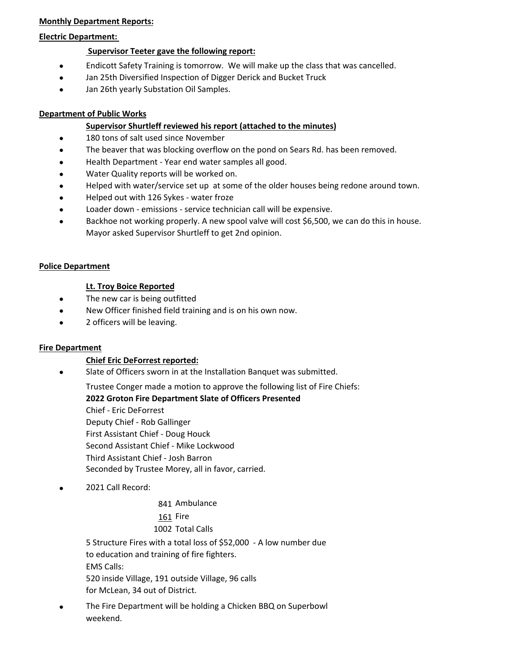#### **Monthly Department Reports:**

#### **Electric Department:**

#### **Supervisor Teeter gave the following report:**

- $\bullet$ Endicott Safety Training is tomorrow. We will make up the class that was cancelled.
- $\bullet$ Jan 25th Diversified Inspection of Digger Derick and Bucket Truck
- $\bullet$ Jan 26th yearly Substation Oil Samples.

#### **Department of Public Works**

#### **Supervisor Shurtleff reviewed his report (attached to the minutes)**

- $\bullet$ 180 tons of salt used since November
- $\bullet$ The beaver that was blocking overflow on the pond on Sears Rd. has been removed.
- $\bullet$ Health Department ‐ Year end water samples all good.
- $\bullet$ Water Quality reports will be worked on.
- $\bullet$ Helped with water/service set up at some of the older houses being redone around town.
- Helped out with 126 Sykes ‐ water froze
- $\bullet$ Loader down ‐ emissions ‐ service technician call will be expensive.
- $\bullet$ Backhoe not working properly. A new spool valve will cost \$6,500, we can do this in house. Mayor asked Supervisor Shurtleff to get 2nd opinion.

#### **Police Department**

#### **Lt. Troy Boice Reported**

- $\bullet$ The new car is being outfitted
- $\bullet$ New Officer finished field training and is on his own now.
- $\bullet$ 2 officers will be leaving.

#### **Fire Department**

#### **Chief Eric DeForrest reported:**

 $\bullet$ Slate of Officers sworn in at the Installation Banquet was submitted.

Trustee Conger made a motion to approve the following list of Fire Chiefs:

#### **2022 Groton Fire Department Slate of Officers Presented**

Chief ‐ Eric DeForrest Deputy Chief ‐ Rob Gallinger First Assistant Chief ‐ Doug Houck Second Assistant Chief ‐ Mike Lockwood Third Assistant Chief ‐ Josh Barron Seconded by Trustee Morey, all in favor, carried.

 $\bullet$ 2021 Call Record:

841 Ambulance

161 Fire 1002 Total Calls

EMS Calls: 520 inside Village, 191 outside Village, 96 calls for McLean, 34 out of District. 5 Structure Fires with a total loss of \$52,000 ‐ A low number due to education and training of fire fighters.

 The Fire Department will be holding a Chicken BBQ on Superbowl weekend.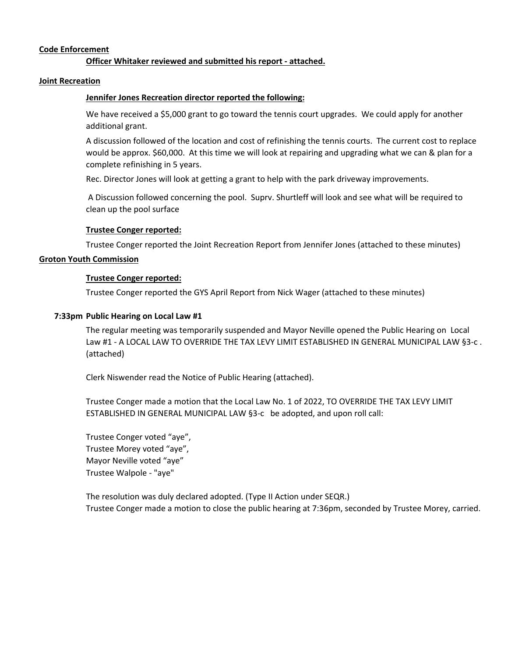#### **Code Enforcement**

#### **Officer Whitaker reviewed and submitted his report ‐ attached.**

#### **Joint Recreation**

#### **Jennifer Jones Recreation director reported the following:**

We have received a \$5,000 grant to go toward the tennis court upgrades. We could apply for another additional grant.

A discussion followed of the location and cost of refinishing the tennis courts. The current cost to replace would be approx. \$60,000. At this time we will look at repairing and upgrading what we can & plan for a complete refinishing in 5 years.

Rec. Director Jones will look at getting a grant to help with the park driveway improvements.

A Discussion followed concerning the pool. Suprv. Shurtleff will look and see what will be required to clean up the pool surface

#### **Trustee Conger reported:**

Trustee Conger reported the Joint Recreation Report from Jennifer Jones (attached to these minutes)

#### **Groton Youth Commission**

#### **Trustee Conger reported:**

Trustee Conger reported the GYS April Report from Nick Wager (attached to these minutes)

#### **7:33pm Public Hearing on Local Law #1**

The regular meeting was temporarily suspended and Mayor Neville opened the Public Hearing on Local Law #1 - A LOCAL LAW TO OVERRIDE THE TAX LEVY LIMIT ESTABLISHED IN GENERAL MUNICIPAL LAW §3-c. (attached)

Clerk Niswender read the Notice of Public Hearing (attached).

Trustee Conger made a motion that the Local Law No. 1 of 2022, TO OVERRIDE THE TAX LEVY LIMIT ESTABLISHED IN GENERAL MUNICIPAL LAW §3‐c be adopted, and upon roll call:

Trustee Conger voted "aye", Trustee Morey voted "aye", Mayor Neville voted "aye" Trustee Walpole ‐ "aye"

The resolution was duly declared adopted. (Type II Action under SEQR.) Trustee Conger made a motion to close the public hearing at 7:36pm, seconded by Trustee Morey, carried.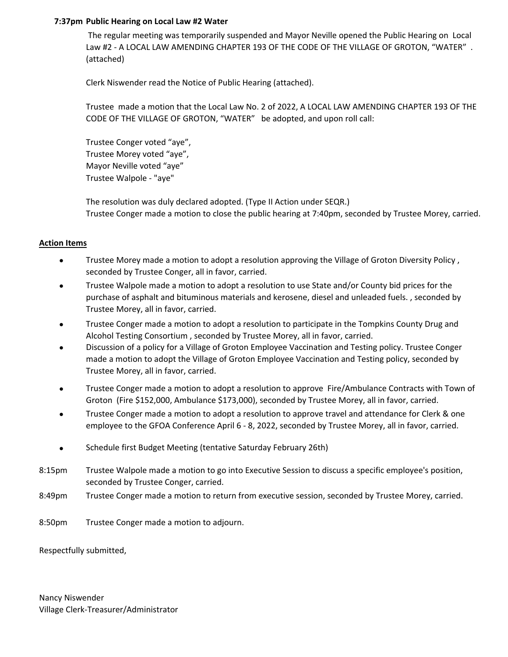#### **7:37pm Public Hearing on Local Law #2 Water**

The regular meeting was temporarily suspended and Mayor Neville opened the Public Hearing on Local Law #2 - A LOCAL LAW AMENDING CHAPTER 193 OF THE CODE OF THE VILLAGE OF GROTON, "WATER". (attached)

Clerk Niswender read the Notice of Public Hearing (attached).

Trustee made a motion that the Local Law No. 2 of 2022, A LOCAL LAW AMENDING CHAPTER 193 OF THE CODE OF THE VILLAGE OF GROTON, "WATER" be adopted, and upon roll call:

Trustee Conger voted "aye", Trustee Morey voted "aye", Mayor Neville voted "aye" Trustee Walpole ‐ "aye"

The resolution was duly declared adopted. (Type II Action under SEQR.) Trustee Conger made a motion to close the public hearing at 7:40pm, seconded by Trustee Morey, carried.

#### **Action Items**

- $\bullet$ Trustee Morey made a motion to adopt a resolution approving the Village of Groton Diversity Policy , seconded by Trustee Conger, all in favor, carried.
- $\bullet$ Trustee Walpole made a motion to adopt a resolution to use State and/or County bid prices for the purchase of asphalt and bituminous materials and kerosene, diesel and unleaded fuels. , seconded by Trustee Morey, all in favor, carried.
- $\bullet$ Trustee Conger made a motion to adopt a resolution to participate in the Tompkins County Drug and Alcohol Testing Consortium , seconded by Trustee Morey, all in favor, carried.
- $\bullet$ Discussion of a policy for a Village of Groton Employee Vaccination and Testing policy. Trustee Conger made a motion to adopt the Village of Groton Employee Vaccination and Testing policy, seconded by Trustee Morey, all in favor, carried.
- $\bullet$ Trustee Conger made a motion to adopt a resolution to approve Fire/Ambulance Contracts with Town of Groton (Fire \$152,000, Ambulance \$173,000), seconded by Trustee Morey, all in favor, carried.
- $\bullet$ Trustee Conger made a motion to adopt a resolution to approve travel and attendance for Clerk & one employee to the GFOA Conference April 6 - 8, 2022, seconded by Trustee Morey, all in favor, carried.
- $\bullet$ Schedule first Budget Meeting (tentative Saturday February 26th)
- 8:15pm Trustee Walpole made a motion to go into Executive Session to discuss a specific employee's position, seconded by Trustee Conger, carried.
- 8:49pm Trustee Conger made a motion to return from executive session, seconded by Trustee Morey, carried.
- 8:50pm Trustee Conger made a motion to adjourn.

Respectfully submitted,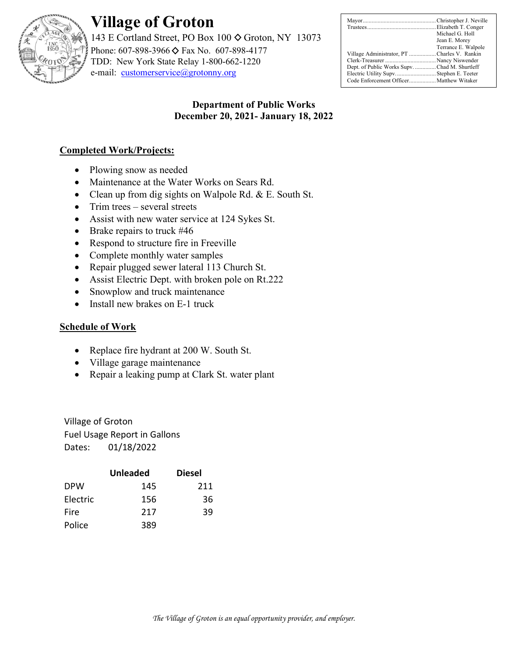

# **Village of Groton**

143 E Cortland Street, PO Box 100  $\diamond$  Groton, NY 13073 Phone: 607-898-3966 ♦ Fax No. 607-898-4177 TDD: New York State Relay 1-800-662-1220 e-mail: [customerservice@grotonny.org](mailto:customerservice@grotonny.org)

|                                               | Michael G. Holl     |
|-----------------------------------------------|---------------------|
|                                               | Jean E. Morey       |
|                                               | Terrance E. Walpole |
| Village Administrator, PT Charles V. Rankin   |                     |
|                                               |                     |
| Dept. of Public Works Supv. Chad M. Shurtleff |                     |
| Electric Utility Supv Stephen E. Teeter       |                     |
| Code Enforcement Officer Matthew Witaker      |                     |

### **Department of Public Works December 20, 2021- January 18, 2022**

### **Completed Work/Projects:**

- Plowing snow as needed
- Maintenance at the Water Works on Sears Rd.
- Clean up from dig sights on Walpole Rd. & E. South St.
- Trim trees several streets
- Assist with new water service at 124 Sykes St.
- Brake repairs to truck #46
- Respond to structure fire in Freeville
- Complete monthly water samples
- Repair plugged sewer lateral 113 Church St.
- Assist Electric Dept. with broken pole on Rt.222
- Snowplow and truck maintenance
- Install new brakes on E-1 truck

### **Schedule of Work**

- Replace fire hydrant at 200 W. South St.
- Village garage maintenance
- Repair a leaking pump at Clark St. water plant

Village of Groton Fuel Usage Report in Gallons Dates: 01/18/2022

|            | <b>Unleaded</b> | <b>Diesel</b> |
|------------|-----------------|---------------|
| <b>DPW</b> | 145             | 211           |
| Electric   | 156             | 36            |
| Fire       | 217             | 39            |
| Police     | 389             |               |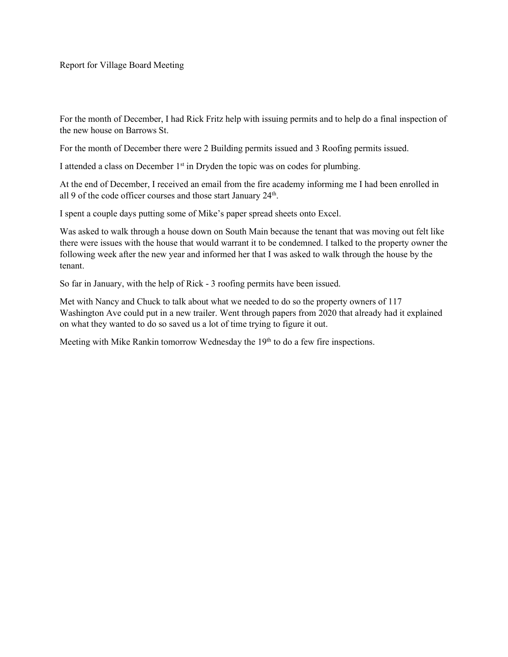Report for Village Board Meeting

For the month of December, I had Rick Fritz help with issuing permits and to help do a final inspection of the new house on Barrows St.

For the month of December there were 2 Building permits issued and 3 Roofing permits issued.

I attended a class on December  $1<sup>st</sup>$  in Dryden the topic was on codes for plumbing.

At the end of December, I received an email from the fire academy informing me I had been enrolled in all 9 of the code officer courses and those start January 24<sup>th</sup>.

I spent a couple days putting some of Mike's paper spread sheets onto Excel.

Was asked to walk through a house down on South Main because the tenant that was moving out felt like there were issues with the house that would warrant it to be condemned. I talked to the property owner the following week after the new year and informed her that I was asked to walk through the house by the tenant.

So far in January, with the help of Rick - 3 roofing permits have been issued.

Met with Nancy and Chuck to talk about what we needed to do so the property owners of 117 Washington Ave could put in a new trailer. Went through papers from 2020 that already had it explained on what they wanted to do so saved us a lot of time trying to figure it out.

Meeting with Mike Rankin tomorrow Wednesday the 19<sup>th</sup> to do a few fire inspections.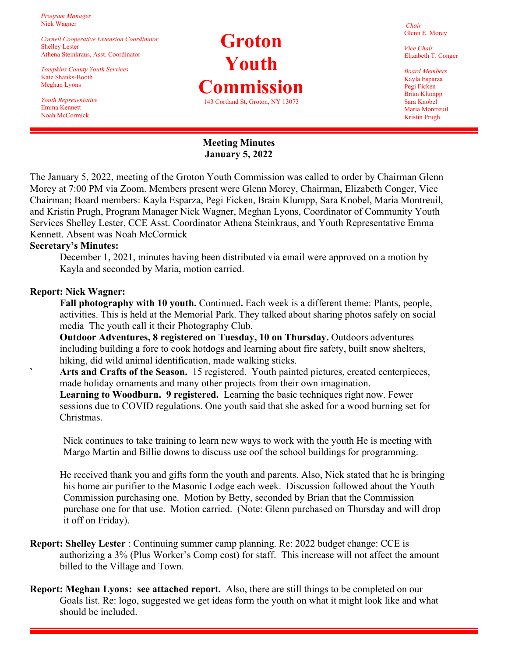*Program Manager* Nick Wagner

*Cornell Cooperative Extension Coordinator* Shelley Lester Athena Steinkraus, Asst. Coordinator

*Tompkins County Youth Services* Kate Shanks-Booth Meghan Lyons

*Youth Representative* Emma Kennett Noah McCormick

# **Groton Youth Commission**  143 Cortland St, Groton, NY 13073

*Chair* Glenn E. Morey

*Vice Chair* Elizabeth T. Conger

*Board Members* Kayla Esparza Pegi Ficken Brian Klumpp Sara Knobel Maria Montreuil Kristin Prugh

### **Meeting Minutes January 5, 2022**

The January 5, 2022, meeting of the Groton Youth Commission was called to order by Chairman Glenn Morey at 7:00 PM via Zoom. Members present were Glenn Morey, Chairman, Elizabeth Conger, Vice Chairman; Board members: Kayla Esparza, Pegi Ficken, Brain Klumpp, Sara Knobel, Maria Montreuil, and Kristin Prugh, Program Manager Nick Wagner, Meghan Lyons, Coordinator of Community Youth Services Shelley Lester, CCE Asst. Coordinator Athena Steinkraus, and Youth Representative Emma Kennett. Absent was Noah McCormick

#### **Secretary's Minutes:**

December 1, 2021, minutes having been distributed via email were approved on a motion by Kayla and seconded by Maria, motion carried.

#### **Report: Nick Wagner:**

**Fall photography with 10 youth.** Continued**.** Each week is a different theme: Plants, people, activities. This is held at the Memorial Park. They talked about sharing photos safely on social media The youth call it their Photography Club.

**Outdoor Adventures, 8 registered on Tuesday, 10 on Thursday.** Outdoors adventures including building a fore to cook hotdogs and learning about fire safety, built snow shelters, hiking, did wild animal identification, made walking sticks.

Arts and Crafts of the Season. 15 registered. Youth painted pictures, created centerpieces, made holiday ornaments and many other projects from their own imagination.

 **Learning to Woodburn. 9 registered.** Learning the basic techniques right now. Fewer sessions due to COVID regulations. One youth said that she asked for a wood burning set for Christmas.

 Nick continues to take training to learn new ways to work with the youth He is meeting with Margo Martin and Billie downs to discuss use oof the school buildings for programming.

He received thank you and gifts form the youth and parents. Also, Nick stated that he is bringing his home air purifier to the Masonic Lodge each week. Discussion followed about the Youth Commission purchasing one. Motion by Betty, seconded by Brian that the Commission purchase one for that use. Motion carried. (Note: Glenn purchased on Thursday and will drop it off on Friday).

- **Report: Shelley Lester** : Continuing summer camp planning. Re: 2022 budget change: CCE is authorizing a 3% (Plus Worker's Comp cost) for staff. This increase will not affect the amount billed to the Village and Town.
- **Report: Meghan Lyons: see attached report.** Also, there are still things to be completed on our Goals list. Re: logo, suggested we get ideas form the youth on what it might look like and what should be included.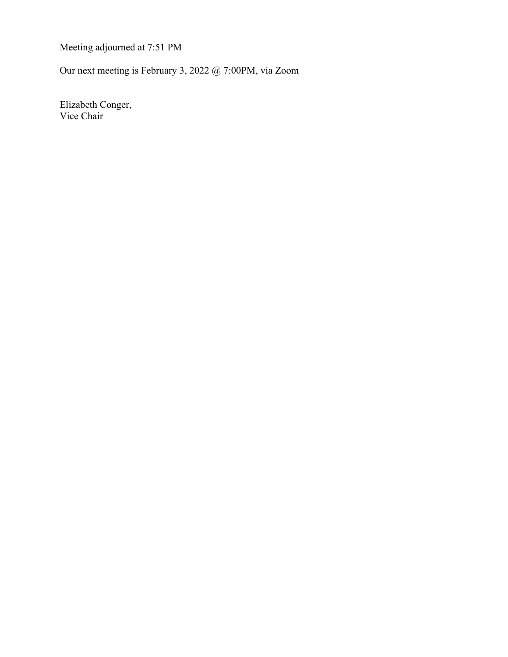Meeting adjourned at 7:51 PM

Our next meeting is February 3, 2022 @ 7:00PM, via Zoom

 Elizabeth Conger, Vice Chair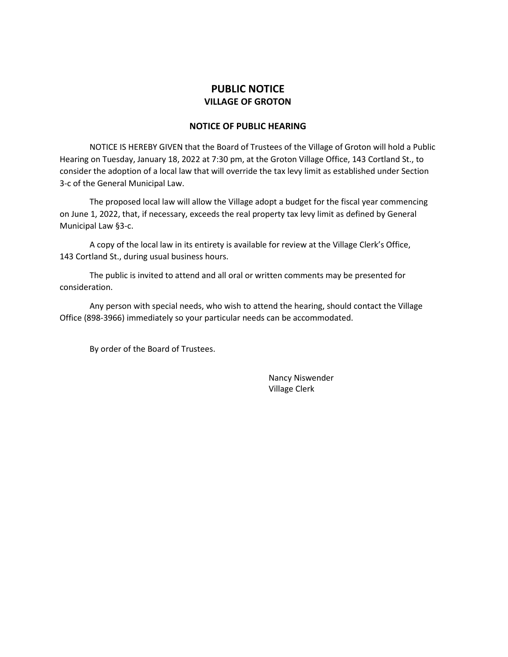### **PUBLIC NOTICE VILLAGE OF GROTON**

#### **NOTICE OF PUBLIC HEARING**

NOTICE IS HEREBY GIVEN that the Board of Trustees of the Village of Groton will hold a Public Hearing on Tuesday, January 18, 2022 at 7:30 pm, at the Groton Village Office, 143 Cortland St., to consider the adoption of a local law that will override the tax levy limit as established under Section 3-c of the General Municipal Law.

The proposed local law will allow the Village adopt a budget for the fiscal year commencing on June 1, 2022, that, if necessary, exceeds the real property tax levy limit as defined by General Municipal Law §3-c.

A copy of the local law in its entirety is available for review at the Village Clerk's Office, 143 Cortland St., during usual business hours.

The public is invited to attend and all oral or written comments may be presented for consideration.

Any person with special needs, who wish to attend the hearing, should contact the Village Office (898-3966) immediately so your particular needs can be accommodated.

By order of the Board of Trustees.

Nancy Niswender Village Clerk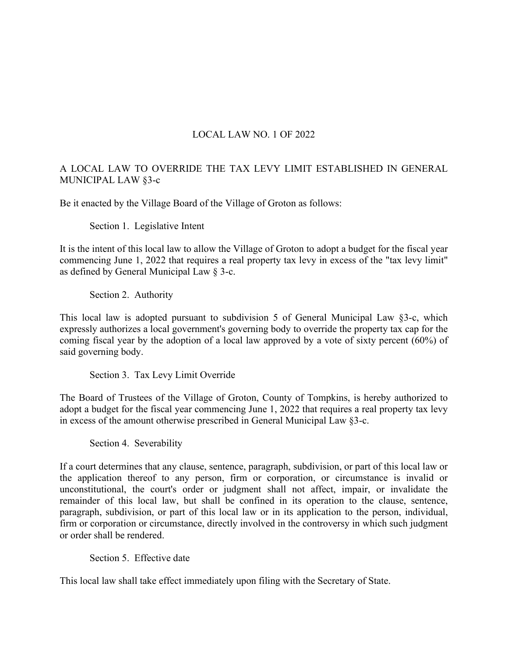### LOCAL LAW NO. 1 OF 2022

### A LOCAL LAW TO OVERRIDE THE TAX LEVY LIMIT ESTABLISHED IN GENERAL MUNICIPAL LAW §3-c

Be it enacted by the Village Board of the Village of Groton as follows:

Section 1. Legislative Intent

It is the intent of this local law to allow the Village of Groton to adopt a budget for the fiscal year commencing June 1, 2022 that requires a real property tax levy in excess of the "tax levy limit" as defined by General Municipal Law § 3-c.

Section 2. Authority

This local law is adopted pursuant to subdivision 5 of General Municipal Law §3-c, which expressly authorizes a local government's governing body to override the property tax cap for the coming fiscal year by the adoption of a local law approved by a vote of sixty percent (60%) of said governing body.

Section 3. Tax Levy Limit Override

The Board of Trustees of the Village of Groton, County of Tompkins, is hereby authorized to adopt a budget for the fiscal year commencing June 1, 2022 that requires a real property tax levy in excess of the amount otherwise prescribed in General Municipal Law §3-c.

Section 4. Severability

If a court determines that any clause, sentence, paragraph, subdivision, or part of this local law or the application thereof to any person, firm or corporation, or circumstance is invalid or unconstitutional, the court's order or judgment shall not affect, impair, or invalidate the remainder of this local law, but shall be confined in its operation to the clause, sentence, paragraph, subdivision, or part of this local law or in its application to the person, individual, firm or corporation or circumstance, directly involved in the controversy in which such judgment or order shall be rendered.

Section 5. Effective date

This local law shall take effect immediately upon filing with the Secretary of State.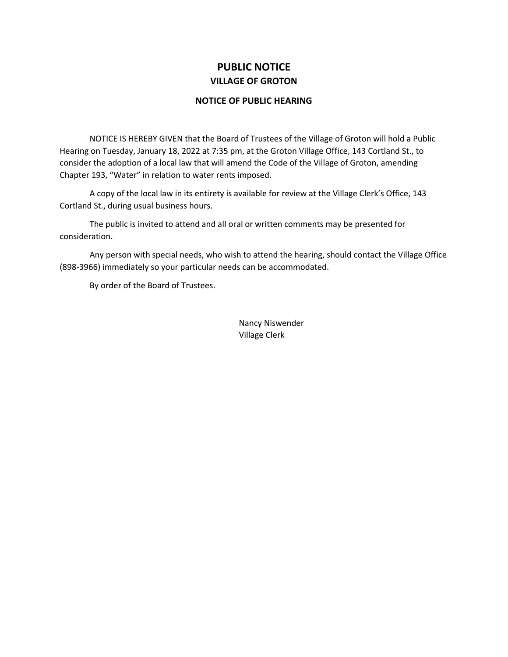## **PUBLIC NOTICE VILLAGE OF GROTON**

#### **NOTICE OF PUBLIC HEARING**

NOTICE IS HEREBY GIVEN that the Board of Trustees of the Village of Groton will hold a Public Hearing on Tuesday, January 18, 2022 at 7:35 pm, at the Groton Village Office, 143 Cortland St., to consider the adoption of a local law that will amend the Code of the Village of Groton, amending Chapter 193, "Water" in relation to water rents imposed.

A copy of the local law in its entirety is available for review at the Village Clerk's Office, 143 Cortland St., during usual business hours.

The public is invited to attend and all oral or written comments may be presented for consideration.

Any person with special needs, who wish to attend the hearing, should contact the Village Office (898-3966) immediately so your particular needs can be accommodated.

By order of the Board of Trustees.

Nancy Niswender Village Clerk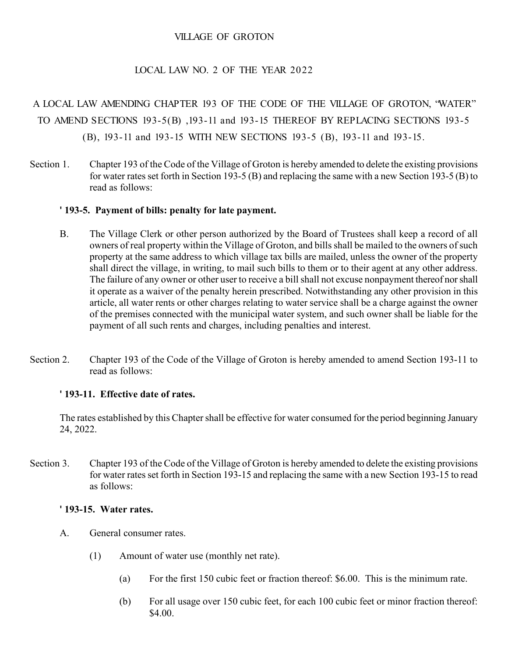### VILLAGE OF GROTON

### LOCAL LAW NO. 2 OF THE YEAR 2022

## A LOCAL LAW AMENDING CHAPTER 193 OF THE CODE OF THE VILLAGE OF GROTON, "WATER" TO AMEND SECTIONS 193-5(B) ,193-11 and 193-15 THEREOF BY REPLACING SECTIONS 193-5 (B), 193-11 and 193-15 WITH NEW SECTIONS 193-5 (B), 193-11 and 193-15.

Section 1. Chapter 193 of the Code of the Village of Groton is hereby amended to delete the existing provisions for water rates set forth in Section 193-5 (B) and replacing the same with a new Section 193-5 (B) to read as follows:

#### **' 193-5. Payment of bills: penalty for late payment.**

- B. The Village Clerk or other person authorized by the Board of Trustees shall keep a record of all owners of real property within the Village of Groton, and bills shall be mailed to the owners of such property at the same address to which village tax bills are mailed, unless the owner of the property shall direct the village, in writing, to mail such bills to them or to their agent at any other address. The failure of any owner or other user to receive a bill shall not excuse nonpayment thereof nor shall it operate as a waiver of the penalty herein prescribed. Notwithstanding any other provision in this article, all water rents or other charges relating to water service shall be a charge against the owner of the premises connected with the municipal water system, and such owner shall be liable for the payment of all such rents and charges, including penalties and interest.
- Section 2. Chapter 193 of the Code of the Village of Groton is hereby amended to amend Section 193-11 to read as follows:

#### **' 193-11. Effective date of rates.**

The rates established by this Chapter shall be effective for water consumed for the period beginning January 24, 2022.

Section 3. Chapter 193 of the Code of the Village of Groton is hereby amended to delete the existing provisions for water rates set forth in Section 193-15 and replacing the same with a new Section 193-15 to read as follows:

#### **' 193-15. Water rates.**

- A. General consumer rates.
	- (1) Amount of water use (monthly net rate).
		- (a) For the first 150 cubic feet or fraction thereof: \$6.00. This is the minimum rate.
		- (b) For all usage over 150 cubic feet, for each 100 cubic feet or minor fraction thereof: \$4.00.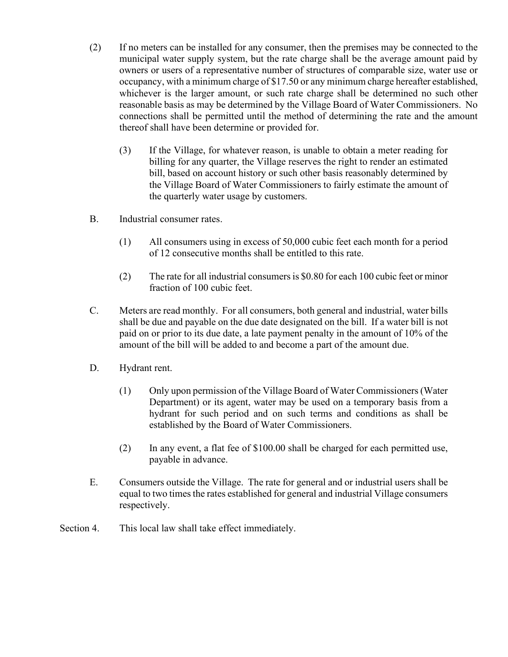- (2) If no meters can be installed for any consumer, then the premises may be connected to the municipal water supply system, but the rate charge shall be the average amount paid by owners or users of a representative number of structures of comparable size, water use or occupancy, with a minimum charge of \$17.50 or any minimum charge hereafter established, whichever is the larger amount, or such rate charge shall be determined no such other reasonable basis as may be determined by the Village Board of Water Commissioners. No connections shall be permitted until the method of determining the rate and the amount thereof shall have been determine or provided for.
	- (3) If the Village, for whatever reason, is unable to obtain a meter reading for billing for any quarter, the Village reserves the right to render an estimated bill, based on account history or such other basis reasonably determined by the Village Board of Water Commissioners to fairly estimate the amount of the quarterly water usage by customers.
- B. Industrial consumer rates.
	- (1) All consumers using in excess of 50,000 cubic feet each month for a period of 12 consecutive months shall be entitled to this rate.
	- (2) The rate for all industrial consumers is \$0.80 for each 100 cubic feet or minor fraction of 100 cubic feet.
- C. Meters are read monthly. For all consumers, both general and industrial, water bills shall be due and payable on the due date designated on the bill. If a water bill is not paid on or prior to its due date, a late payment penalty in the amount of 10% of the amount of the bill will be added to and become a part of the amount due.
- D. Hydrant rent.
	- (1) Only upon permission of the Village Board of Water Commissioners (Water Department) or its agent, water may be used on a temporary basis from a hydrant for such period and on such terms and conditions as shall be established by the Board of Water Commissioners.
	- (2) In any event, a flat fee of \$100.00 shall be charged for each permitted use, payable in advance.
- E. Consumers outside the Village. The rate for general and or industrial users shall be equal to two times the rates established for general and industrial Village consumers respectively.
- Section 4. This local law shall take effect immediately.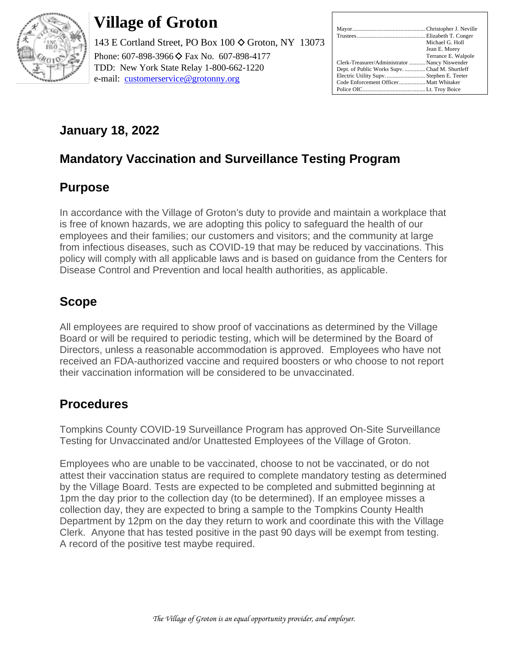

# **Village of Groton**

143 E Cortland Street, PO Box 100  $\Diamond$  Groton, NY 13073 Phone: 607-898-3966 ♦ Fax No. 607-898-4177 TDD: New York State Relay 1-800-662-1220 e-mail: [customerservice@grotonny.org](mailto:customerservice@grotonny.org)

|                                                | Michael G. Holl     |
|------------------------------------------------|---------------------|
|                                                | Jean E. Morey       |
|                                                | Terrance E. Walpole |
| Clerk-Treasurer/Administrator  Nancy Niswender |                     |
| Dept. of Public Works Supv. Chad M. Shurtleff  |                     |
| Electric Utility SupvStephen E. Teeter         |                     |
| Code Enforcement Officer Matt Whitaker         |                     |
|                                                |                     |

## **January 18, 2022**

## **Mandatory Vaccination and Surveillance Testing Program**

## **Purpose**

In accordance with the Village of Groton's duty to provide and maintain a workplace that is free of known hazards, we are adopting this policy to safeguard the health of our employees and their families; our customers and visitors; and the community at large from infectious diseases, such as COVID-19 that may be reduced by vaccinations. This policy will comply with all applicable laws and is based on guidance from the Centers for Disease Control and Prevention and local health authorities, as applicable.

## **Scope**

All employees are required to show proof of vaccinations as determined by the Village Board or will be required to periodic testing, which will be determined by the Board of Directors, unless a reasonable accommodation is approved. Employees who have not received an FDA-authorized vaccine and required boosters or who choose to not report their vaccination information will be considered to be unvaccinated.

## **Procedures**

Tompkins County COVID-19 Surveillance Program has approved On-Site Surveillance Testing for Unvaccinated and/or Unattested Employees of the Village of Groton.

Employees who are unable to be vaccinated, choose to not be vaccinated, or do not attest their vaccination status are required to complete mandatory testing as determined by the Village Board. Tests are expected to be completed and submitted beginning at 1pm the day prior to the collection day (to be determined). If an employee misses a collection day, they are expected to bring a sample to the Tompkins County Health Department by 12pm on the day they return to work and coordinate this with the Village Clerk. Anyone that has tested positive in the past 90 days will be exempt from testing. A record of the positive test maybe required.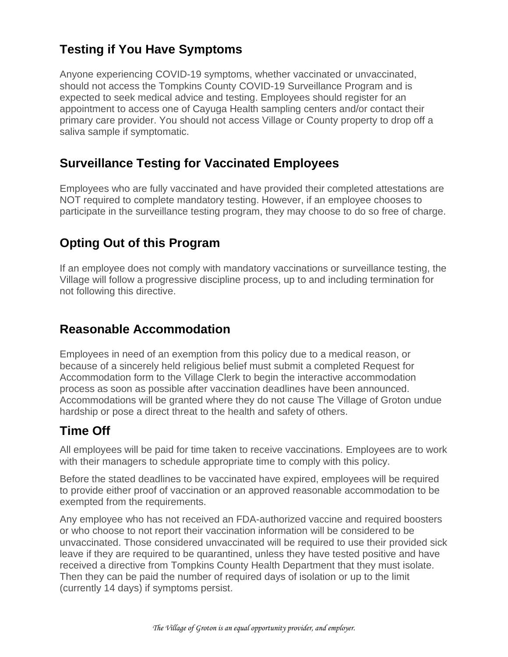## **Testing if You Have Symptoms**

Anyone experiencing COVID-19 symptoms, whether vaccinated or unvaccinated, should not access the Tompkins County COVID-19 Surveillance Program and is expected to seek medical advice and testing. Employees should register for an appointment to access one of Cayuga Health sampling centers and/or contact their primary care provider. You should not access Village or County property to drop off a saliva sample if symptomatic.

## **Surveillance Testing for Vaccinated Employees**

Employees who are fully vaccinated and have provided their completed attestations are NOT required to complete mandatory testing. However, if an employee chooses to participate in the surveillance testing program, they may choose to do so free of charge.

## **Opting Out of this Program**

If an employee does not comply with mandatory vaccinations or surveillance testing, the Village will follow a progressive discipline process, up to and including termination for not following this directive.

## **Reasonable Accommodation**

Employees in need of an exemption from this policy due to a medical reason, or because of a sincerely held religious belief must submit a completed Request for Accommodation form to the Village Clerk to begin the interactive accommodation process as soon as possible after vaccination deadlines have been announced. Accommodations will be granted where they do not cause The Village of Groton undue hardship or pose a direct threat to the health and safety of others.

## **Time Off**

All employees will be paid for time taken to receive vaccinations. Employees are to work with their managers to schedule appropriate time to comply with this policy.

Before the stated deadlines to be vaccinated have expired, employees will be required to provide either proof of vaccination or an approved reasonable accommodation to be exempted from the requirements.

Any employee who has not received an FDA-authorized vaccine and required boosters or who choose to not report their vaccination information will be considered to be unvaccinated. Those considered unvaccinated will be required to use their provided sick leave if they are required to be quarantined, unless they have tested positive and have received a directive from Tompkins County Health Department that they must isolate. Then they can be paid the number of required days of isolation or up to the limit (currently 14 days) if symptoms persist.